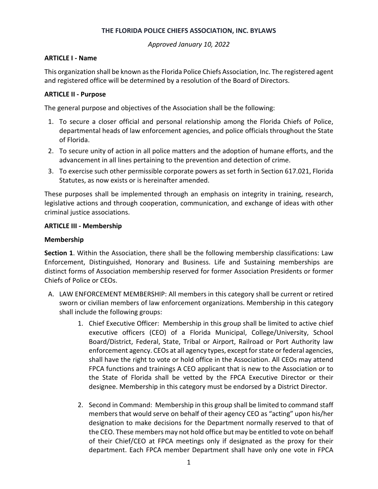#### **THE FLORIDA POLICE CHIEFS ASSOCIATION, INC. BYLAWS**

*Approved January 10, 2022*

#### **ARTICLE I - Name**

This organization shall be known as the Florida Police Chiefs Association, Inc. The registered agent and registered office will be determined by a resolution of the Board of Directors.

### **ARTICLE II - Purpose**

The general purpose and objectives of the Association shall be the following:

- 1. To secure a closer official and personal relationship among the Florida Chiefs of Police, departmental heads of law enforcement agencies, and police officials throughout the State of Florida.
- 2. To secure unity of action in all police matters and the adoption of humane efforts, and the advancement in all lines pertaining to the prevention and detection of crime.
- 3. To exercise such other permissible corporate powers as set forth in Section 617.021, Florida Statutes, as now exists or is hereinafter amended.

These purposes shall be implemented through an emphasis on integrity in training, research, legislative actions and through cooperation, communication, and exchange of ideas with other criminal justice associations.

#### **ARTICLE III - Membership**

#### **Membership**

**Section 1**. Within the Association, there shall be the following membership classifications: Law Enforcement, Distinguished, Honorary and Business. Life and Sustaining memberships are distinct forms of Association membership reserved for former Association Presidents or former Chiefs of Police or CEOs.

- A. LAW ENFORCEMENT MEMBERSHIP: All members in this category shall be current or retired sworn or civilian members of law enforcement organizations. Membership in this category shall include the following groups:
	- 1. Chief Executive Officer: Membership in this group shall be limited to active chief executive officers (CEO) of a Florida Municipal, College/University, School Board/District, Federal, State, Tribal or Airport, Railroad or Port Authority law enforcement agency. CEOs at all agency types, except for state or federal agencies, shall have the right to vote or hold office in the Association. All CEOs may attend FPCA functions and trainings A CEO applicant that is new to the Association or to the State of Florida shall be vetted by the FPCA Executive Director or their designee. Membership in this category must be endorsed by a District Director.
	- 2. Second in Command: Membership in this group shall be limited to command staff members that would serve on behalf of their agency CEO as "acting" upon his/her designation to make decisions for the Department normally reserved to that of the CEO. These members may not hold office but may be entitled to vote on behalf of their Chief/CEO at FPCA meetings only if designated as the proxy for their department. Each FPCA member Department shall have only one vote in FPCA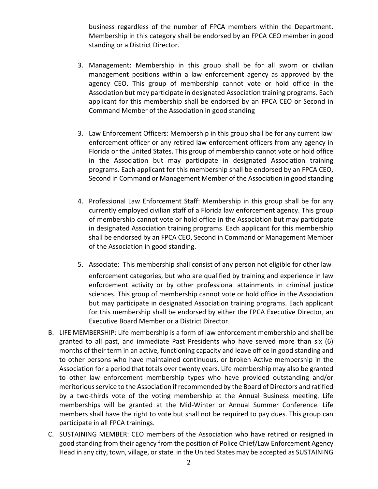business regardless of the number of FPCA members within the Department. Membership in this category shall be endorsed by an FPCA CEO member in good standing or a District Director.

- 3. Management: Membership in this group shall be for all sworn or civilian management positions within a law enforcement agency as approved by the agency CEO. This group of membership cannot vote or hold office in the Association but may participate in designated Association training programs. Each applicant for this membership shall be endorsed by an FPCA CEO or Second in Command Member of the Association in good standing
- 3. Law Enforcement Officers: Membership in this group shall be for any current law enforcement officer or any retired law enforcement officers from any agency in Florida or the United States. This group of membership cannot vote or hold office in the Association but may participate in designated Association training programs. Each applicant for this membership shall be endorsed by an FPCA CEO, Second in Command or Management Member of the Association in good standing
- 4. Professional Law Enforcement Staff: Membership in this group shall be for any currently employed civilian staff of a Florida law enforcement agency. This group of membership cannot vote or hold office in the Association but may participate in designated Association training programs. Each applicant for this membership shall be endorsed by an FPCA CEO, Second in Command or Management Member of the Association in good standing.
- 5. Associate: This membership shall consist of any person not eligible for other law enforcement categories, but who are qualified by training and experience in law enforcement activity or by other professional attainments in criminal justice sciences. This group of membership cannot vote or hold office in the Association but may participate in designated Association training programs. Each applicant for this membership shall be endorsed by either the FPCA Executive Director, an Executive Board Member or a District Director.
- B. LIFE MEMBERSHIP: Life membership is a form of law enforcement membership and shall be granted to all past, and immediate Past Presidents who have served more than six (6) months of their term in an active, functioning capacity and leave office in good standing and to other persons who have maintained continuous, or broken Active membership in the Association for a period that totals over twenty years. Life membership may also be granted to other law enforcement membership types who have provided outstanding and/or meritorious service to the Association if recommended by the Board of Directors and ratified by a two-thirds vote of the voting membership at the Annual Business meeting. Life memberships will be granted at the Mid-Winter or Annual Summer Conference. Life members shall have the right to vote but shall not be required to pay dues. This group can participate in all FPCA trainings.
- C. SUSTAINING MEMBER: CEO members of the Association who have retired or resigned in good standing from their agency from the position of Police Chief/Law Enforcement Agency Head in any city, town, village, or state in the United States may be accepted as SUSTAINING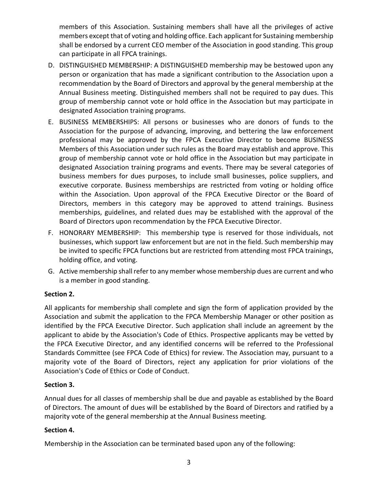members of this Association. Sustaining members shall have all the privileges of active members except that of voting and holding office. Each applicant for Sustaining membership shall be endorsed by a current CEO member of the Association in good standing. This group can participate in all FPCA trainings.

- D. DISTINGUISHED MEMBERSHIP: A DISTINGUISHED membership may be bestowed upon any person or organization that has made a significant contribution to the Association upon a recommendation by the Board of Directors and approval by the general membership at the Annual Business meeting. Distinguished members shall not be required to pay dues. This group of membership cannot vote or hold office in the Association but may participate in designated Association training programs.
- E. BUSINESS MEMBERSHIPS: All persons or businesses who are donors of funds to the Association for the purpose of advancing, improving, and bettering the law enforcement professional may be approved by the FPCA Executive Director to become BUSINESS Members of this Association under such rules as the Board may establish and approve. This group of membership cannot vote or hold office in the Association but may participate in designated Association training programs and events. There may be several categories of business members for dues purposes, to include small businesses, police suppliers, and executive corporate. Business memberships are restricted from voting or holding office within the Association. Upon approval of the FPCA Executive Director or the Board of Directors, members in this category may be approved to attend trainings. Business memberships, guidelines, and related dues may be established with the approval of the Board of Directors upon recommendation by the FPCA Executive Director.
- F. HONORARY MEMBERSHIP: This membership type is reserved for those individuals, not businesses, which support law enforcement but are not in the field. Such membership may be invited to specific FPCA functions but are restricted from attending most FPCA trainings, holding office, and voting.
- G. Active membership shall refer to any member whose membership dues are current and who is a member in good standing.

# **Section 2.**

All applicants for membership shall complete and sign the form of application provided by the Association and submit the application to the FPCA Membership Manager or other position as identified by the FPCA Executive Director. Such application shall include an agreement by the applicant to abide by the Association's Code of Ethics. Prospective applicants may be vetted by the FPCA Executive Director, and any identified concerns will be referred to the Professional Standards Committee (see FPCA Code of Ethics) for review. The Association may, pursuant to a majority vote of the Board of Directors, reject any application for prior violations of the Association's Code of Ethics or Code of Conduct.

### **Section 3.**

Annual dues for all classes of membership shall be due and payable as established by the Board of Directors. The amount of dues will be established by the Board of Directors and ratified by a majority vote of the general membership at the Annual Business meeting.

### **Section 4.**

Membership in the Association can be terminated based upon any of the following: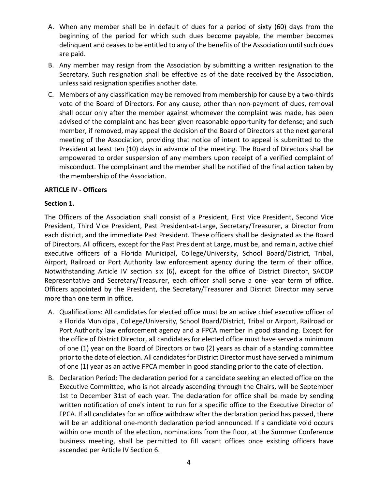- A. When any member shall be in default of dues for a period of sixty (60) days from the beginning of the period for which such dues become payable, the member becomes delinquent and ceases to be entitled to any of the benefits of the Association until such dues are paid.
- B. Any member may resign from the Association by submitting a written resignation to the Secretary. Such resignation shall be effective as of the date received by the Association, unless said resignation specifies another date.
- C. Members of any classification may be removed from membership for cause by a two-thirds vote of the Board of Directors. For any cause, other than non-payment of dues, removal shall occur only after the member against whomever the complaint was made, has been advised of the complaint and has been given reasonable opportunity for defense; and such member, if removed, may appeal the decision of the Board of Directors at the next general meeting of the Association, providing that notice of intent to appeal is submitted to the President at least ten (10) days in advance of the meeting. The Board of Directors shall be empowered to order suspension of any members upon receipt of a verified complaint of misconduct. The complainant and the member shall be notified of the final action taken by the membership of the Association.

## **ARTICLE IV - Officers**

## **Section 1.**

The Officers of the Association shall consist of a President, First Vice President, Second Vice President, Third Vice President, Past President-at-Large, Secretary/Treasurer, a Director from each district, and the immediate Past President. These officers shall be designated as the Board of Directors. All officers, except for the Past President at Large, must be, and remain, active chief executive officers of a Florida Municipal, College/University, School Board/District, Tribal, Airport, Railroad or Port Authority law enforcement agency during the term of their office. Notwithstanding Article IV section six (6), except for the office of District Director, SACOP Representative and Secretary/Treasurer, each officer shall serve a one- year term of office. Officers appointed by the President, the Secretary/Treasurer and District Director may serve more than one term in office.

- A. Qualifications: All candidates for elected office must be an active chief executive officer of a Florida Municipal, College/University, School Board/District, Tribal or Airport, Railroad or Port Authority law enforcement agency and a FPCA member in good standing. Except for the office of District Director, all candidates for elected office must have served a minimum of one (1) year on the Board of Directors or two (2) years as chair of a standing committee prior to the date of election. All candidates for District Director must have served a minimum of one (1) year as an active FPCA member in good standing prior to the date of election.
- B. Declaration Period: The declaration period for a candidate seeking an elected office on the Executive Committee, who is not already ascending through the Chairs, will be September 1st to December 31st of each year. The declaration for office shall be made by sending written notification of one's intent to run for a specific office to the Executive Director of FPCA. If all candidates for an office withdraw after the declaration period has passed, there will be an additional one-month declaration period announced. If a candidate void occurs within one month of the election, nominations from the floor, at the Summer Conference business meeting, shall be permitted to fill vacant offices once existing officers have ascended per Article IV Section 6.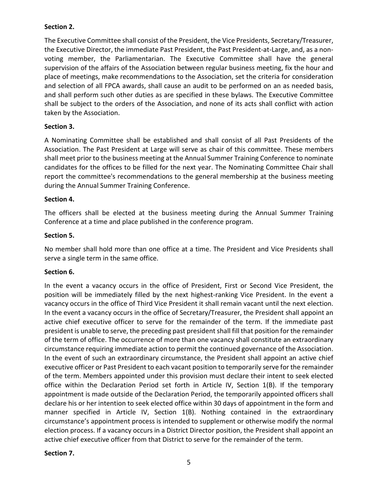## **Section 2.**

The Executive Committee shall consist of the President, the Vice Presidents, Secretary/Treasurer, the Executive Director, the immediate Past President, the Past President-at-Large, and, as a nonvoting member, the Parliamentarian. The Executive Committee shall have the general supervision of the affairs of the Association between regular business meeting, fix the hour and place of meetings, make recommendations to the Association, set the criteria for consideration and selection of all FPCA awards, shall cause an audit to be performed on an as needed basis, and shall perform such other duties as are specified in these bylaws. The Executive Committee shall be subject to the orders of the Association, and none of its acts shall conflict with action taken by the Association.

## **Section 3.**

A Nominating Committee shall be established and shall consist of all Past Presidents of the Association. The Past President at Large will serve as chair of this committee. These members shall meet prior to the business meeting at the Annual Summer Training Conference to nominate candidates for the offices to be filled for the next year. The Nominating Committee Chair shall report the committee's recommendations to the general membership at the business meeting during the Annual Summer Training Conference.

### **Section 4.**

The officers shall be elected at the business meeting during the Annual Summer Training Conference at a time and place published in the conference program.

### **Section 5.**

No member shall hold more than one office at a time. The President and Vice Presidents shall serve a single term in the same office.

### **Section 6.**

In the event a vacancy occurs in the office of President, First or Second Vice President, the position will be immediately filled by the next highest-ranking Vice President. In the event a vacancy occurs in the office of Third Vice President it shall remain vacant until the next election. In the event a vacancy occurs in the office of Secretary/Treasurer, the President shall appoint an active chief executive officer to serve for the remainder of the term. If the immediate past president is unable to serve, the preceding past president shall fill that position for the remainder of the term of office. The occurrence of more than one vacancy shall constitute an extraordinary circumstance requiring immediate action to permit the continued governance of the Association. In the event of such an extraordinary circumstance, the President shall appoint an active chief executive officer or Past President to each vacant position to temporarily serve for the remainder of the term. Members appointed under this provision must declare their intent to seek elected office within the Declaration Period set forth in Article IV, Section 1(B). If the temporary appointment is made outside of the Declaration Period, the temporarily appointed officers shall declare his or her intention to seek elected office within 30 days of appointment in the form and manner specified in Article IV, Section 1(B). Nothing contained in the extraordinary circumstance's appointment process is intended to supplement or otherwise modify the normal election process. If a vacancy occurs in a District Director position, the President shall appoint an active chief executive officer from that District to serve for the remainder of the term.

### **Section 7.**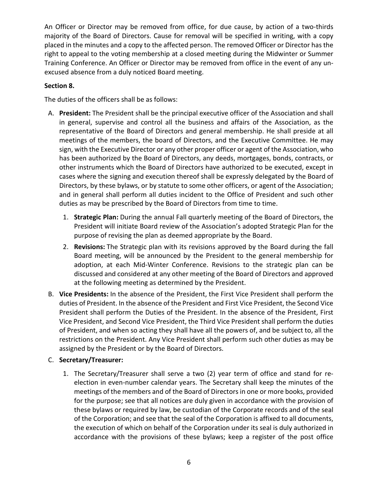An Officer or Director may be removed from office, for due cause, by action of a two-thirds majority of the Board of Directors. Cause for removal will be specified in writing, with a copy placed in the minutes and a copy to the affected person. The removed Officer or Director has the right to appeal to the voting membership at a closed meeting during the Midwinter or Summer Training Conference. An Officer or Director may be removed from office in the event of any unexcused absence from a duly noticed Board meeting.

# **Section 8.**

The duties of the officers shall be as follows:

- A. **President:** The President shall be the principal executive officer of the Association and shall in general, supervise and control all the business and affairs of the Association, as the representative of the Board of Directors and general membership. He shall preside at all meetings of the members, the board of Directors, and the Executive Committee. He may sign, with the Executive Director or any other proper officer or agent of the Association, who has been authorized by the Board of Directors, any deeds, mortgages, bonds, contracts, or other instruments which the Board of Directors have authorized to be executed, except in cases where the signing and execution thereof shall be expressly delegated by the Board of Directors, by these bylaws, or by statute to some other officers, or agent of the Association; and in general shall perform all duties incident to the Office of President and such other duties as may be prescribed by the Board of Directors from time to time.
	- 1. **Strategic Plan:** During the annual Fall quarterly meeting of the Board of Directors, the President will initiate Board review of the Association's adopted Strategic Plan for the purpose of revising the plan as deemed appropriate by the Board.
	- 2. **Revisions:** The Strategic plan with its revisions approved by the Board during the fall Board meeting, will be announced by the President to the general membership for adoption, at each Mid-Winter Conference. Revisions to the strategic plan can be discussed and considered at any other meeting of the Board of Directors and approved at the following meeting as determined by the President.
- B. **Vice Presidents:** In the absence of the President, the First Vice President shall perform the duties of President. In the absence of the President and First Vice President, the Second Vice President shall perform the Duties of the President. In the absence of the President, First Vice President, and Second Vice President, the Third Vice President shall perform the duties of President, and when so acting they shall have all the powers of, and be subject to, all the restrictions on the President. Any Vice President shall perform such other duties as may be assigned by the President or by the Board of Directors.

# C. **Secretary/Treasurer:**

1. The Secretary/Treasurer shall serve a two (2) year term of office and stand for reelection in even-number calendar years. The Secretary shall keep the minutes of the meetings of the members and of the Board of Directors in one or more books, provided for the purpose; see that all notices are duly given in accordance with the provision of these bylaws or required by law, be custodian of the Corporate records and of the seal of the Corporation; and see that the seal of the Corporation is affixed to all documents, the execution of which on behalf of the Corporation under its seal is duly authorized in accordance with the provisions of these bylaws; keep a register of the post office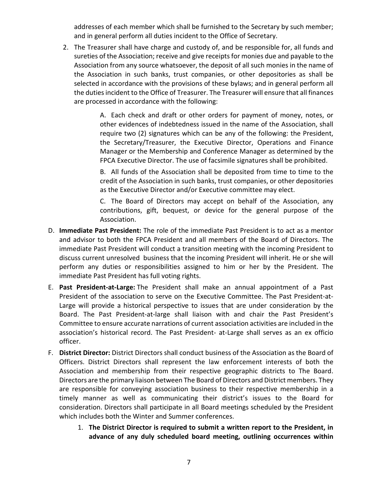addresses of each member which shall be furnished to the Secretary by such member; and in general perform all duties incident to the Office of Secretary.

2. The Treasurer shall have charge and custody of, and be responsible for, all funds and sureties of the Association; receive and give receipts for monies due and payable to the Association from any source whatsoever, the deposit of all such monies in the name of the Association in such banks, trust companies, or other depositories as shall be selected in accordance with the provisions of these bylaws; and in general perform all the duties incident to the Office of Treasurer. The Treasurer will ensure that all finances are processed in accordance with the following:

> A. Each check and draft or other orders for payment of money, notes, or other evidences of indebtedness issued in the name of the Association, shall require two (2) signatures which can be any of the following: the President, the Secretary/Treasurer, the Executive Director, Operations and Finance Manager or the Membership and Conference Manager as determined by the FPCA Executive Director. The use of facsimile signatures shall be prohibited.

> B. All funds of the Association shall be deposited from time to time to the credit of the Association in such banks, trust companies, or other depositories as the Executive Director and/or Executive committee may elect.

> C. The Board of Directors may accept on behalf of the Association, any contributions, gift, bequest, or device for the general purpose of the Association.

- D. **Immediate Past President:** The role of the immediate Past President is to act as a mentor and advisor to both the FPCA President and all members of the Board of Directors. The immediate Past President will conduct a transition meeting with the incoming President to discuss current unresolved business that the incoming President will inherit. He or she will perform any duties or responsibilities assigned to him or her by the President. The immediate Past President has full voting rights.
- E. **Past President-at-Large:** The President shall make an annual appointment of a Past President of the association to serve on the Executive Committee. The Past President-at-Large will provide a historical perspective to issues that are under consideration by the Board. The Past President-at-large shall liaison with and chair the Past President's Committee to ensure accurate narrations of current association activities are included in the association's historical record. The Past President- at-Large shall serves as an ex officio officer.
- F. **District Director:** District Directors shall conduct business of the Association as the Board of Officers. District Directors shall represent the law enforcement interests of both the Association and membership from their respective geographic districts to The Board. Directors are the primary liaison between The Board of Directors and District members. They are responsible for conveying association business to their respective membership in a timely manner as well as communicating their district's issues to the Board for consideration. Directors shall participate in all Board meetings scheduled by the President which includes both the Winter and Summer conferences.
	- 1. **The District Director is required to submit a written report to the President, in advance of any duly scheduled board meeting, outlining occurrences within**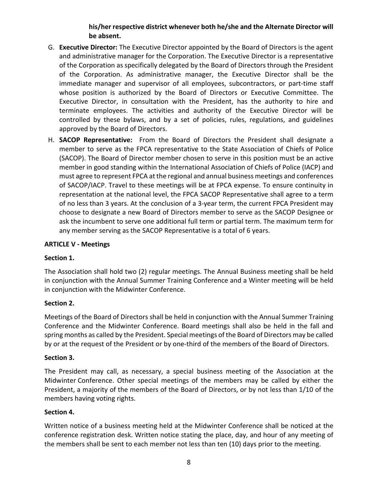# **his/her respective district whenever both he/she and the Alternate Director will be absent.**

- G. **Executive Director:** The Executive Director appointed by the Board of Directors is the agent and administrative manager for the Corporation. The Executive Director is a representative of the Corporation as specifically delegated by the Board of Directors through the President of the Corporation. As administrative manager, the Executive Director shall be the immediate manager and supervisor of all employees, subcontractors, or part-time staff whose position is authorized by the Board of Directors or Executive Committee. The Executive Director, in consultation with the President, has the authority to hire and terminate employees. The activities and authority of the Executive Director will be controlled by these bylaws, and by a set of policies, rules, regulations, and guidelines approved by the Board of Directors.
- H. **SACOP Representative:** From the Board of Directors the President shall designate a member to serve as the FPCA representative to the State Association of Chiefs of Police (SACOP). The Board of Director member chosen to serve in this position must be an active member in good standing within the International Association of Chiefs of Police (IACP) and must agree to represent FPCA at the regional and annual business meetings and conferences of SACOP/IACP. Travel to these meetings will be at FPCA expense. To ensure continuity in representation at the national level, the FPCA SACOP Representative shall agree to a term of no less than 3 years. At the conclusion of a 3-year term, the current FPCA President may choose to designate a new Board of Directors member to serve as the SACOP Designee or ask the incumbent to serve one additional full term or partial term. The maximum term for any member serving as the SACOP Representative is a total of 6 years.

### **ARTICLE V - Meetings**

#### **Section 1.**

The Association shall hold two (2) regular meetings. The Annual Business meeting shall be held in conjunction with the Annual Summer Training Conference and a Winter meeting will be held in conjunction with the Midwinter Conference.

#### **Section 2.**

Meetings of the Board of Directors shall be held in conjunction with the Annual Summer Training Conference and the Midwinter Conference. Board meetings shall also be held in the fall and spring months as called by the President. Special meetings of the Board of Directors may be called by or at the request of the President or by one-third of the members of the Board of Directors.

#### **Section 3.**

The President may call, as necessary, a special business meeting of the Association at the Midwinter Conference. Other special meetings of the members may be called by either the President, a majority of the members of the Board of Directors, or by not less than 1/10 of the members having voting rights.

#### **Section 4.**

Written notice of a business meeting held at the Midwinter Conference shall be noticed at the conference registration desk. Written notice stating the place, day, and hour of any meeting of the members shall be sent to each member not less than ten (10) days prior to the meeting.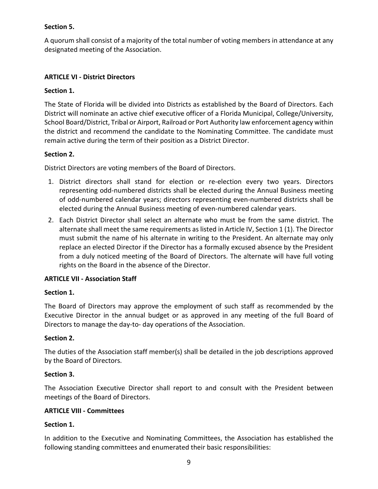## **Section 5.**

A quorum shall consist of a majority of the total number of voting members in attendance at any designated meeting of the Association.

### **ARTICLE VI - District Directors**

### **Section 1.**

The State of Florida will be divided into Districts as established by the Board of Directors. Each District will nominate an active chief executive officer of a Florida Municipal, College/University, School Board/District, Tribal or Airport, Railroad or Port Authority law enforcement agency within the district and recommend the candidate to the Nominating Committee. The candidate must remain active during the term of their position as a District Director.

#### **Section 2.**

District Directors are voting members of the Board of Directors.

- 1. District directors shall stand for election or re-election every two years. Directors representing odd-numbered districts shall be elected during the Annual Business meeting of odd-numbered calendar years; directors representing even-numbered districts shall be elected during the Annual Business meeting of even-numbered calendar years.
- 2. Each District Director shall select an alternate who must be from the same district. The alternate shall meet the same requirements as listed in Article IV, Section 1 (1). The Director must submit the name of his alternate in writing to the President. An alternate may only replace an elected Director if the Director has a formally excused absence by the President from a duly noticed meeting of the Board of Directors. The alternate will have full voting rights on the Board in the absence of the Director.

### **ARTICLE VII - Association Staff**

#### **Section 1.**

The Board of Directors may approve the employment of such staff as recommended by the Executive Director in the annual budget or as approved in any meeting of the full Board of Directors to manage the day-to- day operations of the Association.

#### **Section 2.**

The duties of the Association staff member(s) shall be detailed in the job descriptions approved by the Board of Directors.

#### **Section 3.**

The Association Executive Director shall report to and consult with the President between meetings of the Board of Directors.

### **ARTICLE VIII - Committees**

### **Section 1.**

In addition to the Executive and Nominating Committees, the Association has established the following standing committees and enumerated their basic responsibilities: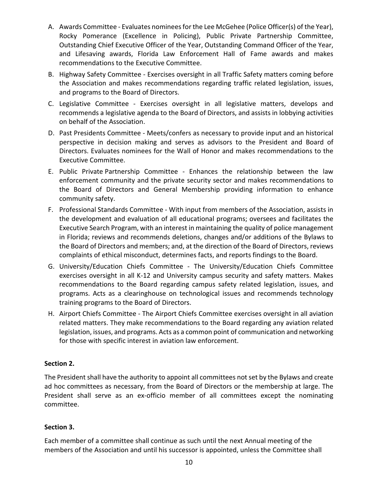- A. Awards Committee Evaluates nominees for the Lee McGehee (Police Officer(s) of the Year), Rocky Pomerance (Excellence in Policing), Public Private Partnership Committee, Outstanding Chief Executive Officer of the Year, Outstanding Command Officer of the Year, and Lifesaving awards, Florida Law Enforcement Hall of Fame awards and makes recommendations to the Executive Committee.
- B. Highway Safety Committee Exercises oversight in all Traffic Safety matters coming before the Association and makes recommendations regarding traffic related legislation, issues, and programs to the Board of Directors.
- C. Legislative Committee Exercises oversight in all legislative matters, develops and recommends a legislative agenda to the Board of Directors, and assists in lobbying activities on behalf of the Association.
- D. Past Presidents Committee Meets/confers as necessary to provide input and an historical perspective in decision making and serves as advisors to the President and Board of Directors. Evaluates nominees for the Wall of Honor and makes recommendations to the Executive Committee.
- E. Public Private Partnership Committee Enhances the relationship between the law enforcement community and the private security sector and makes recommendations to the Board of Directors and General Membership providing information to enhance community safety.
- F. Professional Standards Committee With input from members of the Association, assists in the development and evaluation of all educational programs; oversees and facilitates the Executive Search Program, with an interest in maintaining the quality of police management in Florida; reviews and recommends deletions, changes and/or additions of the Bylaws to the Board of Directors and members; and, at the direction of the Board of Directors, reviews complaints of ethical misconduct, determines facts, and reports findings to the Board.
- G. University/Education Chiefs Committee The University/Education Chiefs Committee exercises oversight in all K-12 and University campus security and safety matters. Makes recommendations to the Board regarding campus safety related legislation, issues, and programs. Acts as a clearinghouse on technological issues and recommends technology training programs to the Board of Directors.
- H. Airport Chiefs Committee The Airport Chiefs Committee exercises oversight in all aviation related matters. They make recommendations to the Board regarding any aviation related legislation, issues, and programs. Acts as a common point of communication and networking for those with specific interest in aviation law enforcement.

### **Section 2.**

The President shall have the authority to appoint all committees not set by the Bylaws and create ad hoc committees as necessary, from the Board of Directors or the membership at large. The President shall serve as an ex-officio member of all committees except the nominating committee.

# **Section 3.**

Each member of a committee shall continue as such until the next Annual meeting of the members of the Association and until his successor is appointed, unless the Committee shall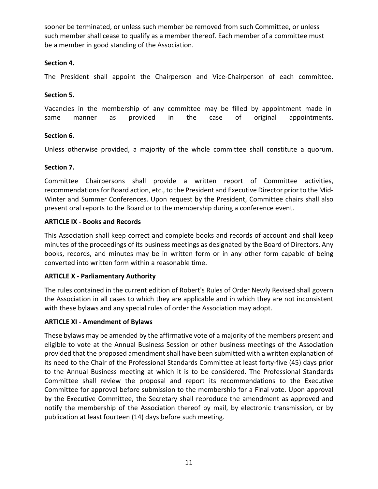sooner be terminated, or unless such member be removed from such Committee, or unless such member shall cease to qualify as a member thereof. Each member of a committee must be a member in good standing of the Association.

### **Section 4.**

The President shall appoint the Chairperson and Vice-Chairperson of each committee.

#### **Section 5.**

Vacancies in the membership of any committee may be filled by appointment made in same manner as provided in the case of original appointments.

#### **Section 6.**

Unless otherwise provided, a majority of the whole committee shall constitute a quorum.

#### **Section 7.**

Committee Chairpersons shall provide a written report of Committee activities, recommendations for Board action, etc., to the President and Executive Director prior to the Mid-Winter and Summer Conferences. Upon request by the President, Committee chairs shall also present oral reports to the Board or to the membership during a conference event.

#### **ARTICLE IX - Books and Records**

This Association shall keep correct and complete books and records of account and shall keep minutes of the proceedings of its business meetings as designated by the Board of Directors. Any books, records, and minutes may be in written form or in any other form capable of being converted into written form within a reasonable time.

#### **ARTICLE X - Parliamentary Authority**

The rules contained in the current edition of Robert's Rules of Order Newly Revised shall govern the Association in all cases to which they are applicable and in which they are not inconsistent with these bylaws and any special rules of order the Association may adopt.

#### **ARTICLE XI - Amendment of Bylaws**

These bylaws may be amended by the affirmative vote of a majority of the members present and eligible to vote at the Annual Business Session or other business meetings of the Association provided that the proposed amendment shall have been submitted with a written explanation of its need to the Chair of the Professional Standards Committee at least forty-five (45) days prior to the Annual Business meeting at which it is to be considered. The Professional Standards Committee shall review the proposal and report its recommendations to the Executive Committee for approval before submission to the membership for a Final vote. Upon approval by the Executive Committee, the Secretary shall reproduce the amendment as approved and notify the membership of the Association thereof by mail, by electronic transmission, or by publication at least fourteen (14) days before such meeting.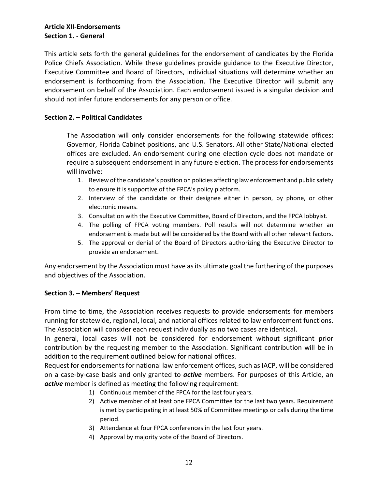### **Article XII-Endorsements Section 1. - General**

This article sets forth the general guidelines for the endorsement of candidates by the Florida Police Chiefs Association. While these guidelines provide guidance to the Executive Director, Executive Committee and Board of Directors, individual situations will determine whether an endorsement is forthcoming from the Association. The Executive Director will submit any endorsement on behalf of the Association. Each endorsement issued is a singular decision and should not infer future endorsements for any person or office.

### **Section 2. – Political Candidates**

The Association will only consider endorsements for the following statewide offices: Governor, Florida Cabinet positions, and U.S. Senators. All other State/National elected offices are excluded. An endorsement during one election cycle does not mandate or require a subsequent endorsement in any future election. The process for endorsements will involve:

- 1. Review of the candidate's position on policies affecting law enforcement and public safety to ensure it is supportive of the FPCA's policy platform.
- 2. Interview of the candidate or their designee either in person, by phone, or other electronic means.
- 3. Consultation with the Executive Committee, Board of Directors, and the FPCA lobbyist.
- 4. The polling of FPCA voting members. Poll results will not determine whether an endorsement is made but will be considered by the Board with all other relevant factors.
- 5. The approval or denial of the Board of Directors authorizing the Executive Director to provide an endorsement.

Any endorsement by the Association must have as its ultimate goal the furthering of the purposes and objectives of the Association.

#### **Section 3. – Members' Request**

From time to time, the Association receives requests to provide endorsements for members running for statewide, regional, local, and national offices related to law enforcement functions. The Association will consider each request individually as no two cases are identical.

In general, local cases will not be considered for endorsement without significant prior contribution by the requesting member to the Association. Significant contribution will be in addition to the requirement outlined below for national offices.

Request for endorsements for national law enforcement offices, such as IACP, will be considered on a case-by-case basis and only granted to *active* members. For purposes of this Article, an *active* member is defined as meeting the following requirement:

- 1) Continuous member of the FPCA for the last four years.
- 2) Active member of at least one FPCA Committee for the last two years. Requirement is met by participating in at least 50% of Committee meetings or calls during the time period.
- 3) Attendance at four FPCA conferences in the last four years.
- 4) Approval by majority vote of the Board of Directors.